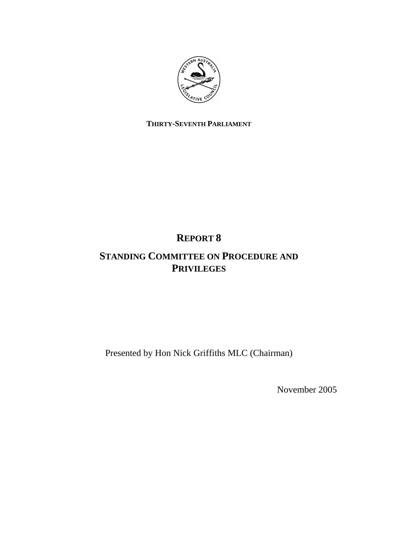

## **THIRTY-SEVENTH PARLIAMENT**

# **REPORT 8**

## **STANDING COMMITTEE ON PROCEDURE AND PRIVILEGES**

Presented by Hon Nick Griffiths MLC (Chairman)

November 2005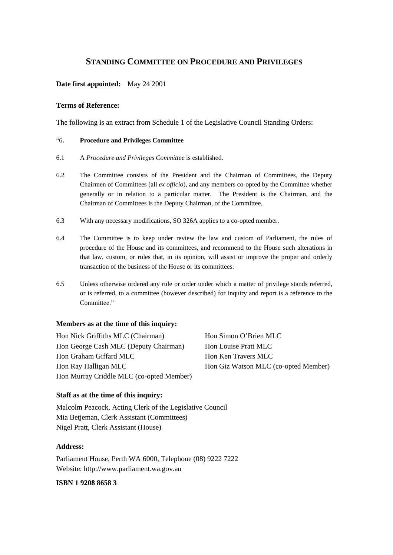## **STANDING COMMITTEE ON PROCEDURE AND PRIVILEGES**

## **Date first appointed:** May 24 2001

#### **Terms of Reference:**

The following is an extract from Schedule 1 of the Legislative Council Standing Orders:

## "6**. Procedure and Privileges Committee**

- 6.1 A *Procedure and Privileges Committee* is established.
- 6.2 The Committee consists of the President and the Chairman of Committees, the Deputy Chairmen of Committees (all *ex officio*), and any members co-opted by the Committee whether generally or in relation to a particular matter. The President is the Chairman, and the Chairman of Committees is the Deputy Chairman, of the Committee.
- 6.3 With any necessary modifications, SO 326A applies to a co-opted member.
- 6.4 The Committee is to keep under review the law and custom of Parliament, the rules of procedure of the House and its committees, and recommend to the House such alterations in that law, custom, or rules that, in its opinion, will assist or improve the proper and orderly transaction of the business of the House or its committees.
- 6.5 Unless otherwise ordered any rule or order under which a matter of privilege stands referred, or is referred, to a committee (however described) for inquiry and report is a reference to the Committee."

#### **Members as at the time of this inquiry:**

Hon Nick Griffiths MLC (Chairman) Hon Simon O'Brien MLC Hon George Cash MLC (Deputy Chairman) Hon Louise Pratt MLC Hon Graham Giffard MLC Hon Ken Travers MLC Hon Ray Halligan MLC Hon Giz Watson MLC (co-opted Member) Hon Murray Criddle MLC (co-opted Member)

#### **Staff as at the time of this inquiry:**

Malcolm Peacock, Acting Clerk of the Legislative Council Mia Betjeman, Clerk Assistant (Committees) Nigel Pratt, Clerk Assistant (House)

#### **Address:**

Parliament House, Perth WA 6000, Telephone (08) 9222 7222 Website: http://www.parliament.wa.gov.au

### **ISBN 1 9208 8658 3**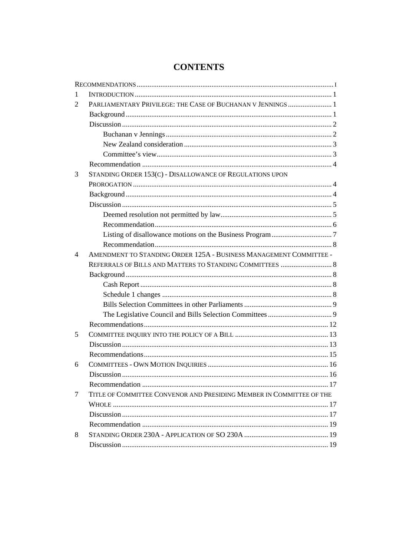| 1              |                                                                      |  |
|----------------|----------------------------------------------------------------------|--|
| 2              | PARLIAMENTARY PRIVILEGE: THE CASE OF BUCHANAN V JENNINGS  1          |  |
|                |                                                                      |  |
|                |                                                                      |  |
|                |                                                                      |  |
|                |                                                                      |  |
|                |                                                                      |  |
|                |                                                                      |  |
| 3              | STANDING ORDER 153(C) - DISALLOWANCE OF REGULATIONS UPON             |  |
|                |                                                                      |  |
|                |                                                                      |  |
|                |                                                                      |  |
|                |                                                                      |  |
|                |                                                                      |  |
|                |                                                                      |  |
|                |                                                                      |  |
| 4              | AMENDMENT TO STANDING ORDER 125A - BUSINESS MANAGEMENT COMMITTEE -   |  |
|                | REFERRALS OF BILLS AND MATTERS TO STANDING COMMITTEES  8             |  |
|                |                                                                      |  |
|                |                                                                      |  |
|                |                                                                      |  |
|                |                                                                      |  |
|                |                                                                      |  |
|                |                                                                      |  |
| 5              |                                                                      |  |
|                |                                                                      |  |
|                |                                                                      |  |
| 6              |                                                                      |  |
|                |                                                                      |  |
|                |                                                                      |  |
| $\overline{7}$ | TITLE OF COMMITTEE CONVENOR AND PRESIDING MEMBER IN COMMITTEE OF THE |  |
|                |                                                                      |  |
|                |                                                                      |  |
|                |                                                                      |  |
| 8              |                                                                      |  |
|                |                                                                      |  |

## **CONTENTS**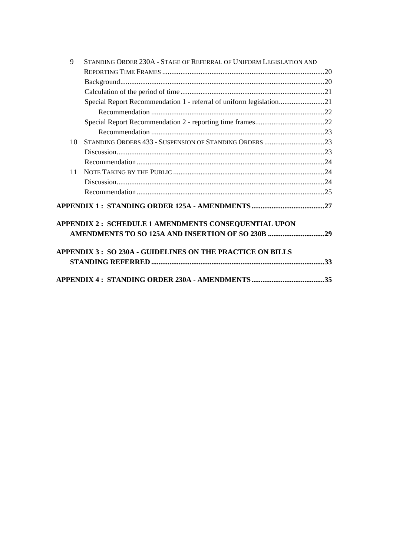| 9  | STANDING ORDER 230A - STAGE OF REFERRAL OF UNIFORM LEGISLATION AND  |  |
|----|---------------------------------------------------------------------|--|
|    |                                                                     |  |
|    |                                                                     |  |
|    |                                                                     |  |
|    | Special Report Recommendation 1 - referral of uniform legislation21 |  |
|    |                                                                     |  |
|    |                                                                     |  |
|    |                                                                     |  |
| 10 |                                                                     |  |
|    |                                                                     |  |
|    |                                                                     |  |
| 11 |                                                                     |  |
|    |                                                                     |  |
|    |                                                                     |  |
|    |                                                                     |  |
|    | APPENDIX 2 : SCHEDULE 1 AMENDMENTS CONSEQUENTIAL UPON               |  |
|    | APPENDIX 3 : SO 230A - GUIDELINES ON THE PRACTICE ON BILLS          |  |
|    |                                                                     |  |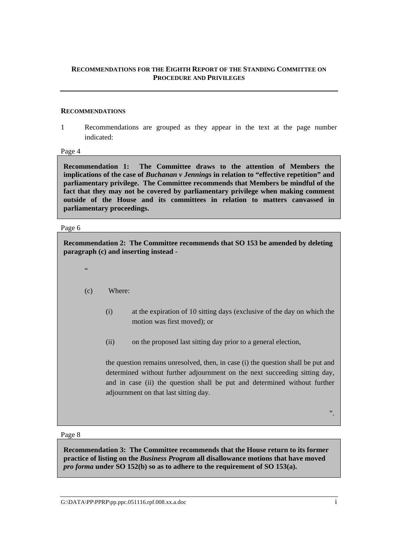## **RECOMMENDATIONS FOR THE EIGHTH REPORT OF THE STANDING COMMITTEE ON PROCEDURE AND PRIVILEGES**

#### **RECOMMENDATIONS**

1 Recommendations are grouped as they appear in the text at the page number indicated:

Page 4

**Recommendation 1: The Committee draws to the attention of Members the implications of the case of** *Buchanan v Jennings* **in relation to "effective repetition" and parliamentary privilege. The Committee recommends that Members be mindful of the fact that they may not be covered by parliamentary privilege when making comment outside of the House and its committees in relation to matters canvassed in parliamentary proceedings.** 

#### Page 6

**Recommendation 2: The Committee recommends that SO 153 be amended by deleting paragraph (c) and inserting instead -** 

- $\epsilon$
- (c) Where:
	- (i) at the expiration of 10 sitting days (exclusive of the day on which the motion was first moved); or
	- (ii) on the proposed last sitting day prior to a general election,

the question remains unresolved, then, in case (i) the question shall be put and determined without further adjournment on the next succeeding sitting day, and in case (ii) the question shall be put and determined without further adjournment on that last sitting day*.*

".

#### Page 8

**Recommendation 3: The Committee recommends that the House return to its former practice of listing on the** *Business Program* **all disallowance motions that have moved**  *pro forma* **under SO 152(b) so as to adhere to the requirement of SO 153(a).**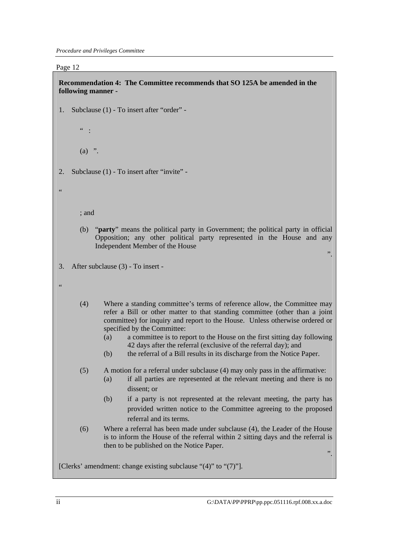**Recommendation 4: The Committee recommends that SO 125A be amended in the following manner -**  1. Subclause (1) - To insert after "order" -  $"$  :  $(a)$  ". 2. Subclause (1) - To insert after "invite" - " ; and (b) "**party**" means the political party in Government; the political party in official Opposition; any other political party represented in the House and any Independent Member of the House ". 3. After subclause (3) - To insert - "

- (4) Where a standing committee's terms of reference allow, the Committee may refer a Bill or other matter to that standing committee (other than a joint committee) for inquiry and report to the House. Unless otherwise ordered or specified by the Committee:
	- (a) a committee is to report to the House on the first sitting day following 42 days after the referral (exclusive of the referral day); and
	- (b) the referral of a Bill results in its discharge from the Notice Paper.

## (5) A motion for a referral under subclause (4) may only pass in the affirmative: (a) if all parties are represented at the relevant meeting and there is no

- (b) if a party is not represented at the relevant meeting, the party has provided written notice to the Committee agreeing to the proposed referral and its terms.
- (6) Where a referral has been made under subclause (4), the Leader of the House is to inform the House of the referral within 2 sitting days and the referral is then to be published on the Notice Paper.

[Clerks' amendment: change existing subclause "(4)" to "(7)"].

dissent; or

".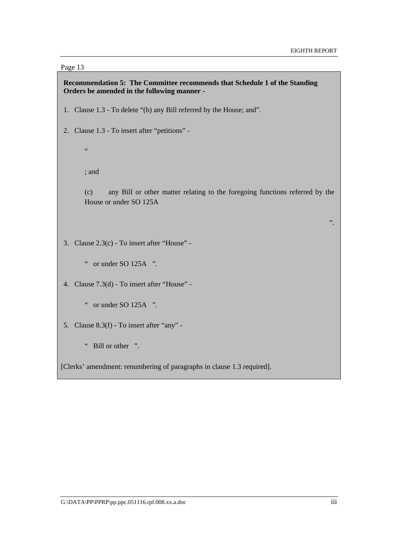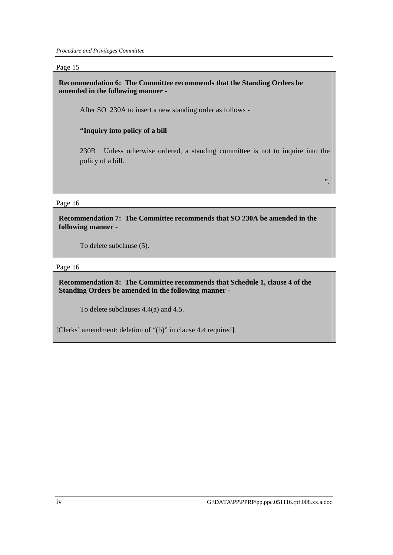*Procedure and Privileges Committee* 

Page 15

**Recommendation 6: The Committee recommends that the Standing Orders be amended in the following manner -** 

After SO 230A to insert a new standing order as follows -

## **"Inquiry into policy of a bill**

230B Unless otherwise ordered, a standing committee is not to inquire into the policy of a bill.

Page 16

**Recommendation 7: The Committee recommends that SO 230A be amended in the following manner -** 

To delete subclause (5).

Page 16

**Recommendation 8: The Committee recommends that Schedule 1, clause 4 of the Standing Orders be amended in the following manner -** 

To delete subclauses 4.4(a) and 4.5.

[Clerks' amendment: deletion of "(b)" in clause 4.4 required].

".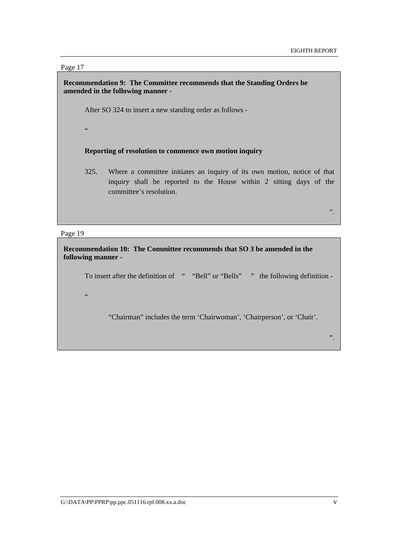## **Recommendation 9: The Committee recommends that the Standing Orders be amended in the following manner -**

After SO 324 to insert a new standing order as follows -

 $\overline{\mathbf{G}}$ 

#### **Reporting of resolution to commence own motion inquiry**

325. Where a committee initiates an inquiry of its own motion, notice of that inquiry shall be reported to the House within 2 sitting days of the committee's resolution.

".

#### Page 19

 $\epsilon$ 

**Recommendation 10: The Committee recommends that SO 3 be amended in the following manner -** 

To insert after the definition of " "Bell" or "Bells" " the following definition -

"Chairman" includes the term 'Chairwoman', 'Chairperson', or 'Chair'.

".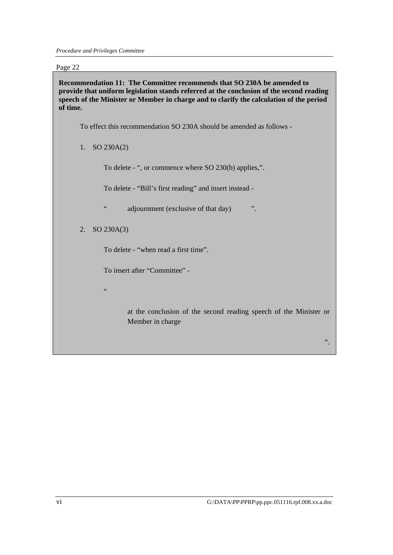**Recommendation 11: The Committee recommends that SO 230A be amended to provide that uniform legislation stands referred at the conclusion of the second reading speech of the Minister or Member in charge and to clarify the calculation of the period of time.** 

To effect this recommendation SO 230A should be amended as follows -

1. SO 230A(2)

To delete - ", or commence where SO 230(b) applies,".

To delete - "Bill's first reading" and insert instead -

" adjournment (exclusive of that day) ".

2. SO 230A(3)

To delete - "when read a first time".

To insert after "Committee" -

 $\epsilon$   $\epsilon$ 

at the conclusion of the second reading speech of the Minister or Member in charge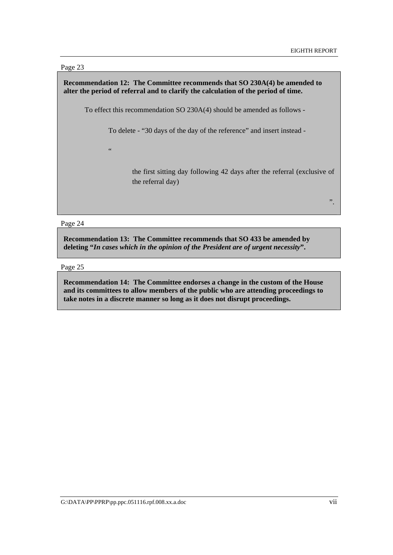## **Recommendation 12: The Committee recommends that SO 230A(4) be amended to alter the period of referral and to clarify the calculation of the period of time.**

To effect this recommendation SO 230A(4) should be amended as follows -

To delete - "30 days of the day of the reference" and insert instead -

 $\epsilon$ 

the first sitting day following 42 days after the referral (exclusive of the referral day)

".

#### Page 24

**Recommendation 13: The Committee recommends that SO 433 be amended by deleting "***In cases which in the opinion of the President are of urgent necessity***".** 

Page 25

**Recommendation 14: The Committee endorses a change in the custom of the House and its committees to allow members of the public who are attending proceedings to take notes in a discrete manner so long as it does not disrupt proceedings.**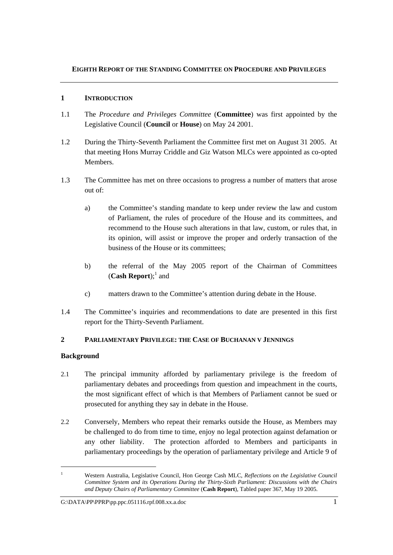## **1 INTRODUCTION**

- 1.1 The *Procedure and Privileges Committee* (**Committee**) was first appointed by the Legislative Council (**Council** or **House**) on May 24 2001.
- 1.2 During the Thirty-Seventh Parliament the Committee first met on August 31 2005. At that meeting Hons Murray Criddle and Giz Watson MLCs were appointed as co-opted Members.
- 1.3 The Committee has met on three occasions to progress a number of matters that arose out of:
	- a) the Committee's standing mandate to keep under review the law and custom of Parliament, the rules of procedure of the House and its committees, and recommend to the House such alterations in that law, custom, or rules that, in its opinion, will assist or improve the proper and orderly transaction of the business of the House or its committees;
	- b) the referral of the May 2005 report of the Chairman of Committees (**Cash Report**);<sup>1</sup> and
	- c) matters drawn to the Committee's attention during debate in the House.
- 1.4 The Committee's inquiries and recommendations to date are presented in this first report for the Thirty-Seventh Parliament.

## **2 PARLIAMENTARY PRIVILEGE: THE CASE OF BUCHANAN V JENNINGS**

## **Background**

- 2.1 The principal immunity afforded by parliamentary privilege is the freedom of parliamentary debates and proceedings from question and impeachment in the courts, the most significant effect of which is that Members of Parliament cannot be sued or prosecuted for anything they say in debate in the House.
- 2.2 Conversely, Members who repeat their remarks outside the House, as Members may be challenged to do from time to time, enjoy no legal protection against defamation or any other liability. The protection afforded to Members and participants in parliamentary proceedings by the operation of parliamentary privilege and Article 9 of

<sup>1</sup> Western Australia, Legislative Council, Hon George Cash MLC, *Reflections on the Legislative Council Committee System and its Operations During the Thirty-Sixth Parliament: Discussions with the Chairs and Deputy Chairs of Parliamentary Committee* (**Cash Report**), Tabled paper 367, May 19 2005.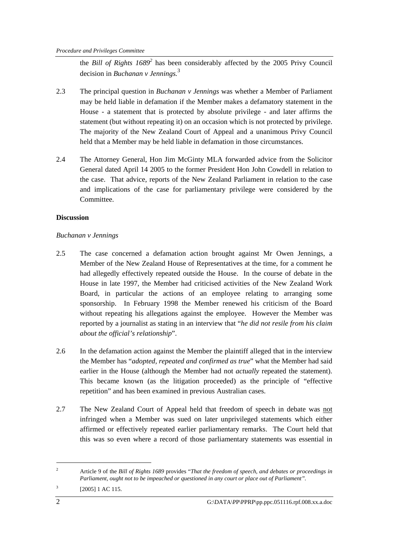the *Bill of Rights 1689<sup>2</sup>* has been considerably affected by the 2005 Privy Council decision in *Buchanan v Jennings.*<sup>3</sup>

- 2.3 The principal question in *Buchanan v Jennings* was whether a Member of Parliament may be held liable in defamation if the Member makes a defamatory statement in the House - a statement that is protected by absolute privilege - and later affirms the statement (but without repeating it) on an occasion which is not protected by privilege. The majority of the New Zealand Court of Appeal and a unanimous Privy Council held that a Member may be held liable in defamation in those circumstances.
- 2.4 The Attorney General, Hon Jim McGinty MLA forwarded advice from the Solicitor General dated April 14 2005 to the former President Hon John Cowdell in relation to the case. That advice, reports of the New Zealand Parliament in relation to the case and implications of the case for parliamentary privilege were considered by the Committee.

## **Discussion**

## *Buchanan v Jennings*

- 2.5 The case concerned a defamation action brought against Mr Owen Jennings, a Member of the New Zealand House of Representatives at the time, for a comment he had allegedly effectively repeated outside the House. In the course of debate in the House in late 1997, the Member had criticised activities of the New Zealand Work Board, in particular the actions of an employee relating to arranging some sponsorship. In February 1998 the Member renewed his criticism of the Board without repeating his allegations against the employee. However the Member was reported by a journalist as stating in an interview that "*he did not resile from his claim about the official's relationship*".
- 2.6 In the defamation action against the Member the plaintiff alleged that in the interview the Member has "*adopted, repeated and confirmed as true*" what the Member had said earlier in the House (although the Member had not *actually* repeated the statement). This became known (as the litigation proceeded) as the principle of "effective repetition" and has been examined in previous Australian cases.
- 2.7 The New Zealand Court of Appeal held that freedom of speech in debate was not infringed when a Member was sued on later unprivileged statements which either affirmed or effectively repeated earlier parliamentary remarks. The Court held that this was so even where a record of those parliamentary statements was essential in

<sup>2</sup> Article 9 of the *Bill of Rights 1689* provides "*That the freedom of speech, and debates or proceedings in Parliament, ought not to be impeached or questioned in any court or place out of Parliament".*

<sup>3</sup> [2005] 1 AC 115.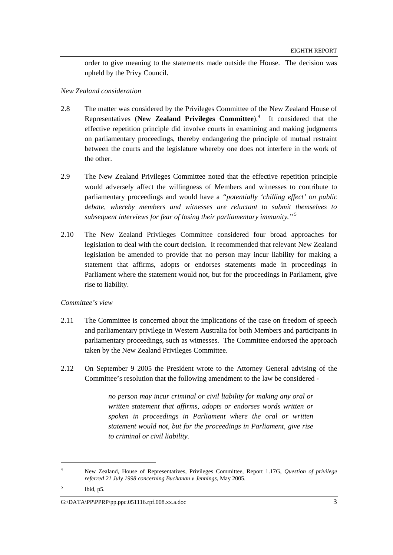order to give meaning to the statements made outside the House. The decision was upheld by the Privy Council.

### *New Zealand consideration*

- 2.8 The matter was considered by the Privileges Committee of the New Zealand House of Representatives (New Zealand Privileges Committee).<sup>4</sup> It considered that the effective repetition principle did involve courts in examining and making judgments on parliamentary proceedings, thereby endangering the principle of mutual restraint between the courts and the legislature whereby one does not interfere in the work of the other.
- 2.9 The New Zealand Privileges Committee noted that the effective repetition principle would adversely affect the willingness of Members and witnesses to contribute to parliamentary proceedings and would have a *"potentially 'chilling effect' on public debate, whereby members and witnesses are reluctant to submit themselves to subsequent interviews for fear of losing their parliamentary immunity."*<sup>5</sup>
- 2.10 The New Zealand Privileges Committee considered four broad approaches for legislation to deal with the court decision. It recommended that relevant New Zealand legislation be amended to provide that no person may incur liability for making a statement that affirms, adopts or endorses statements made in proceedings in Parliament where the statement would not, but for the proceedings in Parliament, give rise to liability.

#### *Committee's view*

- 2.11 The Committee is concerned about the implications of the case on freedom of speech and parliamentary privilege in Western Australia for both Members and participants in parliamentary proceedings, such as witnesses. The Committee endorsed the approach taken by the New Zealand Privileges Committee.
- 2.12 On September 9 2005 the President wrote to the Attorney General advising of the Committee's resolution that the following amendment to the law be considered -

*no person may incur criminal or civil liability for making any oral or written statement that affirms, adopts or endorses words written or spoken in proceedings in Parliament where the oral or written statement would not, but for the proceedings in Parliament, give rise to criminal or civil liability.* 

<sup>4</sup> New Zealand, House of Representatives, Privileges Committee, Report 1.17G, *Question of privilege referred 21 July 1998 concerning Buchanan v Jennings,* May 2005.

<sup>5</sup> Ibid, p5.

G: $\Delta\text{PPRP}\$ PPRP\pp.ppc.051116.rpf.008.xx.a.doc 3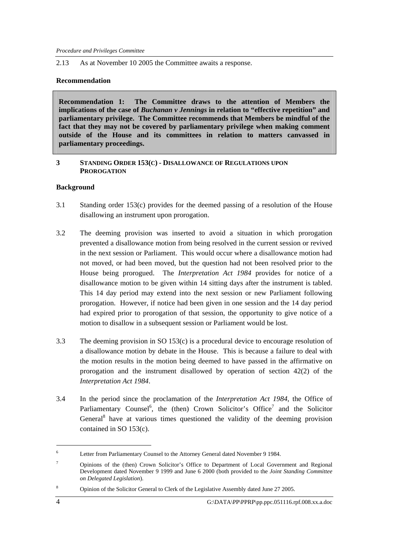#### 2.13 As at November 10 2005 the Committee awaits a response.

### **Recommendation**

**Recommendation 1: The Committee draws to the attention of Members the implications of the case of** *Buchanan v Jennings* **in relation to "effective repetition" and parliamentary privilege. The Committee recommends that Members be mindful of the fact that they may not be covered by parliamentary privilege when making comment outside of the House and its committees in relation to matters canvassed in parliamentary proceedings.** 

#### **3 STANDING ORDER 153(C) - DISALLOWANCE OF REGULATIONS UPON PROROGATION**

## **Background**

- 3.1 Standing order 153(c) provides for the deemed passing of a resolution of the House disallowing an instrument upon prorogation.
- 3.2 The deeming provision was inserted to avoid a situation in which prorogation prevented a disallowance motion from being resolved in the current session or revived in the next session or Parliament. This would occur where a disallowance motion had not moved, or had been moved, but the question had not been resolved prior to the House being prorogued. The *Interpretation Act 1984* provides for notice of a disallowance motion to be given within 14 sitting days after the instrument is tabled. This 14 day period may extend into the next session or new Parliament following prorogation. However, if notice had been given in one session and the 14 day period had expired prior to prorogation of that session, the opportunity to give notice of a motion to disallow in a subsequent session or Parliament would be lost.
- 3.3 The deeming provision in SO 153(c) is a procedural device to encourage resolution of a disallowance motion by debate in the House. This is because a failure to deal with the motion results in the motion being deemed to have passed in the affirmative on prorogation and the instrument disallowed by operation of section 42(2) of the *Interpretation Act 1984*.
- 3.4 In the period since the proclamation of the *Interpretation Act 1984*, the Office of Parliamentary Counsel<sup>6</sup>, the (then) Crown Solicitor's Office<sup>7</sup> and the Solicitor General<sup>8</sup> have at various times questioned the validity of the deeming provision contained in SO 153(c).

<sup>6</sup> Letter from Parliamentary Counsel to the Attorney General dated November 9 1984.

<sup>7</sup> Opinions of the (then) Crown Solicitor's Office to Department of Local Government and Regional Development dated November 9 1999 and June 6 2000 (both provided to the *Joint Standing Committee on Delegated Legislation*).

<sup>8</sup> Opinion of the Solicitor General to Clerk of the Legislative Assembly dated June 27 2005.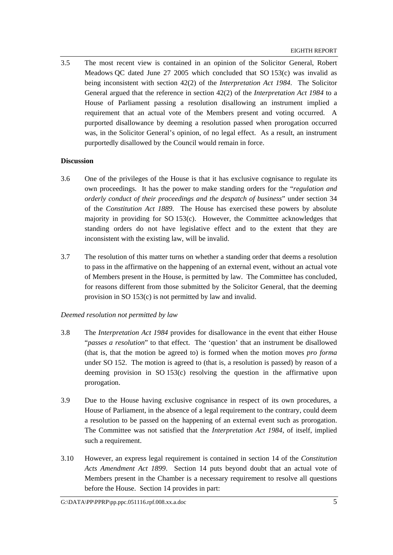3.5 The most recent view is contained in an opinion of the Solicitor General, Robert Meadows QC dated June 27 2005 which concluded that SO 153(c) was invalid as being inconsistent with section 42(2) of the *Interpretation Act 1984*. The Solicitor General argued that the reference in section 42(2) of the *Interpretation Act 1984* to a House of Parliament passing a resolution disallowing an instrument implied a requirement that an actual vote of the Members present and voting occurred. A purported disallowance by deeming a resolution passed when prorogation occurred was, in the Solicitor General's opinion, of no legal effect. As a result, an instrument purportedly disallowed by the Council would remain in force.

## **Discussion**

- 3.6 One of the privileges of the House is that it has exclusive cognisance to regulate its own proceedings. It has the power to make standing orders for the "*regulation and orderly conduct of their proceedings and the despatch of business*" under section 34 of the *Constitution Act 1889*. The House has exercised these powers by absolute majority in providing for SO 153(c). However, the Committee acknowledges that standing orders do not have legislative effect and to the extent that they are inconsistent with the existing law, will be invalid.
- 3.7 The resolution of this matter turns on whether a standing order that deems a resolution to pass in the affirmative on the happening of an external event, without an actual vote of Members present in the House, is permitted by law. The Committee has concluded, for reasons different from those submitted by the Solicitor General, that the deeming provision in SO 153(c) is not permitted by law and invalid.

## *Deemed resolution not permitted by law*

- 3.8 The *Interpretation Act 1984* provides for disallowance in the event that either House "*passes a resolution*" to that effect. The 'question' that an instrument be disallowed (that is, that the motion be agreed to) is formed when the motion moves *pro forma* under SO 152. The motion is agreed to (that is, a resolution is passed) by reason of a deeming provision in SO 153(c) resolving the question in the affirmative upon prorogation.
- 3.9 Due to the House having exclusive cognisance in respect of its own procedures, a House of Parliament, in the absence of a legal requirement to the contrary, could deem a resolution to be passed on the happening of an external event such as prorogation. The Committee was not satisfied that the *Interpretation Act 1984*, of itself, implied such a requirement.
- 3.10 However, an express legal requirement is contained in section 14 of the *Constitution Acts Amendment Act 1899*. Section 14 puts beyond doubt that an actual vote of Members present in the Chamber is a necessary requirement to resolve all questions before the House. Section 14 provides in part: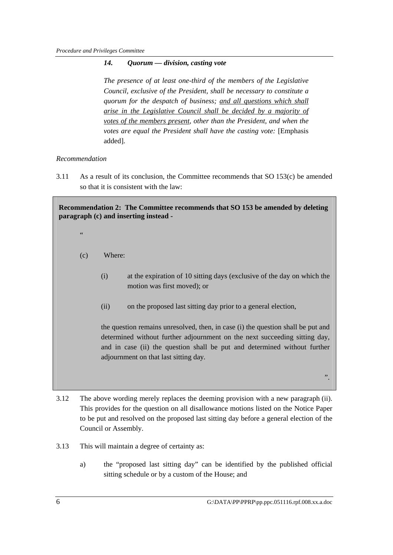## *14. Quorum — division, casting vote*

*The presence of at least one-third of the members of the Legislative Council, exclusive of the President, shall be necessary to constitute a quorum for the despatch of business; and all questions which shall arise in the Legislative Council shall be decided by a majority of votes of the members present, other than the President, and when the votes are equal the President shall have the casting vote:* [Emphasis added].

## *Recommendation*

3.11 As a result of its conclusion, the Committee recommends that SO 153(c) be amended so that it is consistent with the law:

**Recommendation 2: The Committee recommends that SO 153 be amended by deleting paragraph (c) and inserting instead -** 

- "
- (c) Where:
	- (i) at the expiration of 10 sitting days (exclusive of the day on which the motion was first moved); or
	- (ii) on the proposed last sitting day prior to a general election,

the question remains unresolved, then, in case (i) the question shall be put and determined without further adjournment on the next succeeding sitting day, and in case (ii) the question shall be put and determined without further adjournment on that last sitting day*.*

3.12 The above wording merely replaces the deeming provision with a new paragraph (ii). This provides for the question on all disallowance motions listed on the Notice Paper to be put and resolved on the proposed last sitting day before a general election of the Council or Assembly.

- 3.13 This will maintain a degree of certainty as:
	- a) the "proposed last sitting day" can be identified by the published official sitting schedule or by a custom of the House; and

".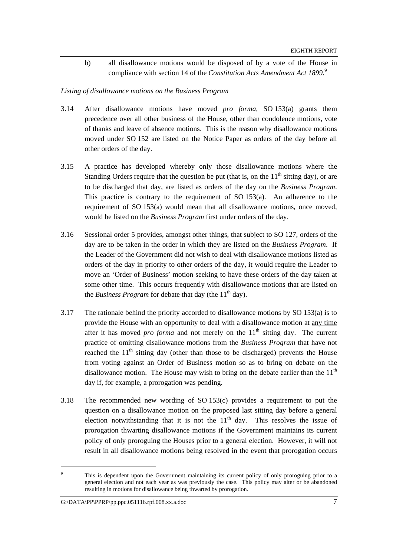b) all disallowance motions would be disposed of by a vote of the House in compliance with section 14 of the *Constitution Acts Amendment Act 1899*. 9

#### *Listing of disallowance motions on the Business Program*

- 3.14 After disallowance motions have moved *pro forma*, SO 153(a) grants them precedence over all other business of the House, other than condolence motions, vote of thanks and leave of absence motions. This is the reason why disallowance motions moved under SO 152 are listed on the Notice Paper as orders of the day before all other orders of the day.
- 3.15 A practice has developed whereby only those disallowance motions where the Standing Orders require that the question be put (that is, on the  $11<sup>th</sup>$  sitting day), or are to be discharged that day, are listed as orders of the day on the *Business Program*. This practice is contrary to the requirement of SO  $153(a)$ . An adherence to the requirement of SO 153(a) would mean that all disallowance motions, once moved, would be listed on the *Business Program* first under orders of the day.
- 3.16 Sessional order 5 provides, amongst other things, that subject to SO 127, orders of the day are to be taken in the order in which they are listed on the *Business Program*. If the Leader of the Government did not wish to deal with disallowance motions listed as orders of the day in priority to other orders of the day, it would require the Leader to move an 'Order of Business' motion seeking to have these orders of the day taken at some other time. This occurs frequently with disallowance motions that are listed on the *Business Program* for debate that day (the 11<sup>th</sup> day).
- 3.17 The rationale behind the priority accorded to disallowance motions by SO 153(a) is to provide the House with an opportunity to deal with a disallowance motion at any time after it has moved *pro forma* and not merely on the  $11<sup>th</sup>$  sitting day. The current practice of omitting disallowance motions from the *Business Program* that have not reached the  $11<sup>th</sup>$  sitting day (other than those to be discharged) prevents the House from voting against an Order of Business motion so as to bring on debate on the disallowance motion. The House may wish to bring on the debate earlier than the  $11<sup>th</sup>$ day if, for example, a prorogation was pending.
- 3.18 The recommended new wording of SO 153(c) provides a requirement to put the question on a disallowance motion on the proposed last sitting day before a general election notwithstanding that it is not the  $11<sup>th</sup>$  day. This resolves the issue of prorogation thwarting disallowance motions if the Government maintains its current policy of only proroguing the Houses prior to a general election. However, it will not result in all disallowance motions being resolved in the event that prorogation occurs

<sup>9</sup> This is dependent upon the Government maintaining its current policy of only proroguing prior to a general election and not each year as was previously the case. This policy may alter or be abandoned resulting in motions for disallowance being thwarted by prorogation.

G:\DATA\PP\PPRP\pp.ppc.051116.rpf.008.xx.a.doc 7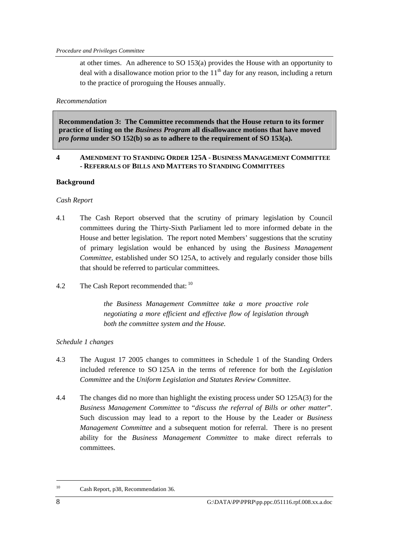at other times. An adherence to SO 153(a) provides the House with an opportunity to deal with a disallowance motion prior to the  $11<sup>th</sup>$  day for any reason, including a return to the practice of proroguing the Houses annually.

### *Recommendation*

**Recommendation 3: The Committee recommends that the House return to its former practice of listing on the** *Business Program* **all disallowance motions that have moved**  *pro forma* **under SO 152(b) so as to adhere to the requirement of SO 153(a).** 

### **4 AMENDMENT TO STANDING ORDER 125A - BUSINESS MANAGEMENT COMMITTEE - REFERRALS OF BILLS AND MATTERS TO STANDING COMMITTEES**

## **Background**

## *Cash Report*

- 4.1 The Cash Report observed that the scrutiny of primary legislation by Council committees during the Thirty-Sixth Parliament led to more informed debate in the House and better legislation. The report noted Members' suggestions that the scrutiny of primary legislation would be enhanced by using the *Business Management Committee*, established under SO 125A, to actively and regularly consider those bills that should be referred to particular committees.
- 4.2 The Cash Report recommended that: <sup>10</sup>

*the Business Management Committee take a more proactive role negotiating a more efficient and effective flow of legislation through both the committee system and the House.* 

## *Schedule 1 changes*

- 4.3 The August 17 2005 changes to committees in Schedule 1 of the Standing Orders included reference to SO 125A in the terms of reference for both the *Legislation Committee* and the *Uniform Legislation and Statutes Review Committee*.
- 4.4 The changes did no more than highlight the existing process under SO 125A(3) for the *Business Management Committee* to "*discuss the referral of Bills or other matter*". Such discussion may lead to a report to the House by the Leader or *Business Management Committee* and a subsequent motion for referral. There is no present ability for the *Business Management Committee* to make direct referrals to committees.

<sup>10</sup> Cash Report, p38, Recommendation 36.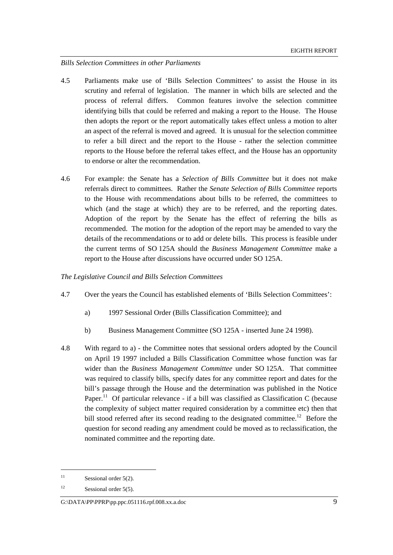#### *Bills Selection Committees in other Parliaments*

- 4.5 Parliaments make use of 'Bills Selection Committees' to assist the House in its scrutiny and referral of legislation. The manner in which bills are selected and the process of referral differs. Common features involve the selection committee identifying bills that could be referred and making a report to the House. The House then adopts the report or the report automatically takes effect unless a motion to alter an aspect of the referral is moved and agreed. It is unusual for the selection committee to refer a bill direct and the report to the House - rather the selection committee reports to the House before the referral takes effect, and the House has an opportunity to endorse or alter the recommendation.
- 4.6 For example: the Senate has a *Selection of Bills Committee* but it does not make referrals direct to committees. Rather the *Senate Selection of Bills Committee* reports to the House with recommendations about bills to be referred, the committees to which (and the stage at which) they are to be referred, and the reporting dates. Adoption of the report by the Senate has the effect of referring the bills as recommended. The motion for the adoption of the report may be amended to vary the details of the recommendations or to add or delete bills. This process is feasible under the current terms of SO 125A should the *Business Management Committee* make a report to the House after discussions have occurred under SO 125A.

#### *The Legislative Council and Bills Selection Committees*

- 4.7 Over the years the Council has established elements of 'Bills Selection Committees':
	- a) 1997 Sessional Order (Bills Classification Committee); and
	- b) Business Management Committee (SO 125A inserted June 24 1998).
- 4.8 With regard to a) the Committee notes that sessional orders adopted by the Council on April 19 1997 included a Bills Classification Committee whose function was far wider than the *Business Management Committee* under SO 125A. That committee was required to classify bills, specify dates for any committee report and dates for the bill's passage through the House and the determination was published in the Notice Paper.<sup>11</sup> Of particular relevance - if a bill was classified as Classification C (because the complexity of subject matter required consideration by a committee etc) then that bill stood referred after its second reading to the designated committee.<sup>12</sup> Before the question for second reading any amendment could be moved as to reclassification, the nominated committee and the reporting date.

<sup>&</sup>lt;sup>11</sup> Sessional order  $5(2)$ .

<sup>&</sup>lt;sup>12</sup> Sessional order  $5(5)$ .

G:\DATA\PP\PPRP\pp.ppc.051116.rpf.008.xx.a.doc 9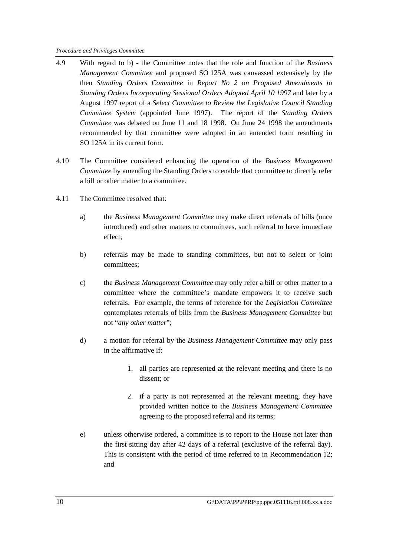- 4.9 With regard to b) the Committee notes that the role and function of the *Business Management Committee* and proposed SO 125A was canvassed extensively by the then *Standing Orders Committee* in *Report No 2 on Proposed Amendments to Standing Orders Incorporating Sessional Orders Adopted April 10 1997* and later by a August 1997 report of a *Select Committee to Review the Legislative Council Standing Committee System* (appointed June 1997). The report of the *Standing Orders Committee* was debated on June 11 and 18 1998. On June 24 1998 the amendments recommended by that committee were adopted in an amended form resulting in SO 125A in its current form.
- 4.10 The Committee considered enhancing the operation of the *Business Management Committee* by amending the Standing Orders to enable that committee to directly refer a bill or other matter to a committee.
- 4.11 The Committee resolved that:
	- a) the *Business Management Committee* may make direct referrals of bills (once introduced) and other matters to committees, such referral to have immediate effect;
	- b) referrals may be made to standing committees, but not to select or joint committees;
	- c) the *Business Management Committee* may only refer a bill or other matter to a committee where the committee's mandate empowers it to receive such referrals. For example, the terms of reference for the *Legislation Committee* contemplates referrals of bills from the *Business Management Committee* but not "*any other matter*";
	- d) a motion for referral by the *Business Management Committee* may only pass in the affirmative if:
		- 1. all parties are represented at the relevant meeting and there is no dissent; or
		- 2. if a party is not represented at the relevant meeting, they have provided written notice to the *Business Management Committee* agreeing to the proposed referral and its terms;
	- e) unless otherwise ordered, a committee is to report to the House not later than the first sitting day after 42 days of a referral (exclusive of the referral day). This is consistent with the period of time referred to in Recommendation 12; and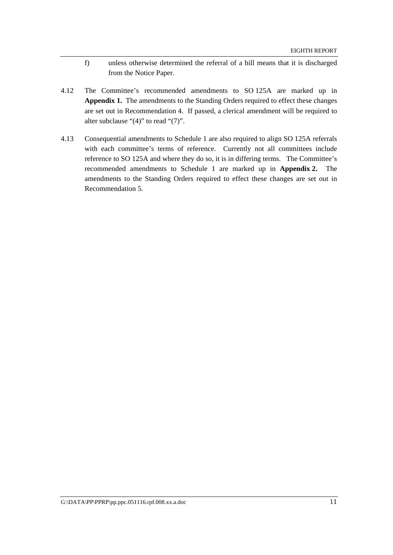- f) unless otherwise determined the referral of a bill means that it is discharged from the Notice Paper.
- 4.12 The Committee's recommended amendments to SO 125A are marked up in **Appendix 1.** The amendments to the Standing Orders required to effect these changes are set out in Recommendation 4. If passed, a clerical amendment will be required to alter subclause "(4)" to read "(7)".
- 4.13 Consequential amendments to Schedule 1 are also required to align SO 125A referrals with each committee's terms of reference. Currently not all committees include reference to SO 125A and where they do so, it is in differing terms. The Committee's recommended amendments to Schedule 1 are marked up in **Appendix 2.** The amendments to the Standing Orders required to effect these changes are set out in Recommendation 5.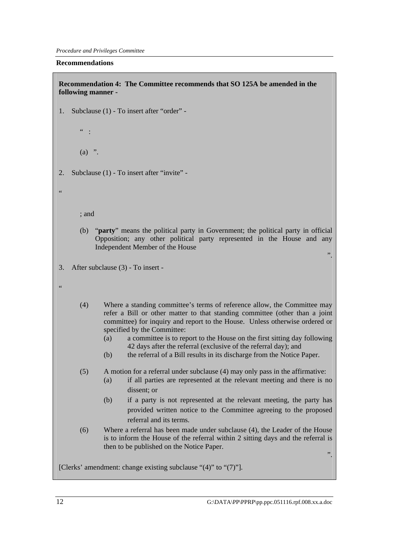#### **Recommendations**

**Recommendation 4: The Committee recommends that SO 125A be amended in the following manner -** 

- 1. Subclause (1) To insert after "order"
	- $"$  :

 $(a)$  ".

2. Subclause (1) - To insert after "invite" -

; and

- (b) "**party**" means the political party in Government; the political party in official Opposition; any other political party represented in the House and any Independent Member of the House
- 3. After subclause (3) To insert -

.<br>44

- (4) Where a standing committee's terms of reference allow, the Committee may refer a Bill or other matter to that standing committee (other than a joint committee) for inquiry and report to the House. Unless otherwise ordered or specified by the Committee:
	- (a) a committee is to report to the House on the first sitting day following 42 days after the referral (exclusive of the referral day); and
	- (b) the referral of a Bill results in its discharge from the Notice Paper.
- (5) A motion for a referral under subclause (4) may only pass in the affirmative:
	- (a) if all parties are represented at the relevant meeting and there is no dissent; or
	- (b) if a party is not represented at the relevant meeting, the party has provided written notice to the Committee agreeing to the proposed referral and its terms.
- (6) Where a referral has been made under subclause (4), the Leader of the House is to inform the House of the referral within 2 sitting days and the referral is then to be published on the Notice Paper.

".

".

[Clerks' amendment: change existing subclause "(4)" to "(7)"].

 $\epsilon$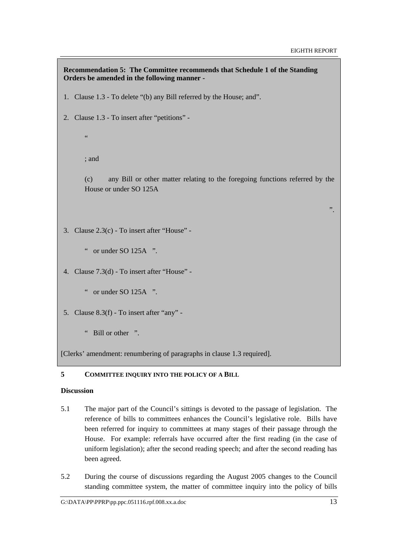```
Recommendation 5: The Committee recommends that Schedule 1 of the Standing 
Orders be amended in the following manner - 
1. Clause 1.3 - To delete "(b) any Bill referred by the House; and". 
2. Clause 1.3 - To insert after "petitions" - 
       \epsilon; and 
       (c) any Bill or other matter relating to the foregoing functions referred by the 
       House or under SO 125A 
                                                                                          ". 
3. Clause 2.3(c) - To insert after "House" - 
       " or under SO(125A) "
4. Clause 7.3(d) - To insert after "House" - 
       " or under SO 125A ". 
5. Clause 8.3(f) - To insert after "any" - 
       " Bill or other ".
```
[Clerks' amendment: renumbering of paragraphs in clause 1.3 required].

## **5 COMMITTEE INQUIRY INTO THE POLICY OF A BILL**

## **Discussion**

- 5.1 The major part of the Council's sittings is devoted to the passage of legislation. The reference of bills to committees enhances the Council's legislative role. Bills have been referred for inquiry to committees at many stages of their passage through the House. For example: referrals have occurred after the first reading (in the case of uniform legislation); after the second reading speech; and after the second reading has been agreed.
- 5.2 During the course of discussions regarding the August 2005 changes to the Council standing committee system, the matter of committee inquiry into the policy of bills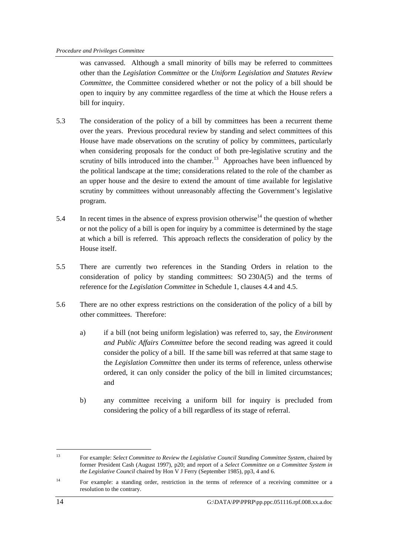was canvassed. Although a small minority of bills may be referred to committees other than the *Legislation Committee* or the *Uniform Legislation and Statutes Review Committee*, the Committee considered whether or not the policy of a bill should be open to inquiry by any committee regardless of the time at which the House refers a bill for inquiry.

- 5.3 The consideration of the policy of a bill by committees has been a recurrent theme over the years. Previous procedural review by standing and select committees of this House have made observations on the scrutiny of policy by committees, particularly when considering proposals for the conduct of both pre-legislative scrutiny and the scrutiny of bills introduced into the chamber.<sup>13</sup> Approaches have been influenced by the political landscape at the time; considerations related to the role of the chamber as an upper house and the desire to extend the amount of time available for legislative scrutiny by committees without unreasonably affecting the Government's legislative program.
- 5.4 In recent times in the absence of express provision otherwise<sup>14</sup> the question of whether or not the policy of a bill is open for inquiry by a committee is determined by the stage at which a bill is referred. This approach reflects the consideration of policy by the House itself.
- 5.5 There are currently two references in the Standing Orders in relation to the consideration of policy by standing committees: SO 230A(5) and the terms of reference for the *Legislation Committee* in Schedule 1, clauses 4.4 and 4.5.
- 5.6 There are no other express restrictions on the consideration of the policy of a bill by other committees. Therefore:
	- a) if a bill (not being uniform legislation) was referred to, say, the *Environment and Public Affairs Committee* before the second reading was agreed it could consider the policy of a bill. If the same bill was referred at that same stage to the *Legislation Committee* then under its terms of reference, unless otherwise ordered, it can only consider the policy of the bill in limited circumstances; and
	- b) any committee receiving a uniform bill for inquiry is precluded from considering the policy of a bill regardless of its stage of referral.

<sup>&</sup>lt;sup>13</sup> For example: *Select Committee to Review the Legislative Council Standing Committee System*, chaired by former President Cash (August 1997), p20; and report of a *Select Committee on a Committee System in the Legislative Council* chaired by Hon V J Ferry (September 1985), pp3, 4 and 6.

<sup>&</sup>lt;sup>14</sup> For example: a standing order, restriction in the terms of reference of a receiving committee or a resolution to the contrary.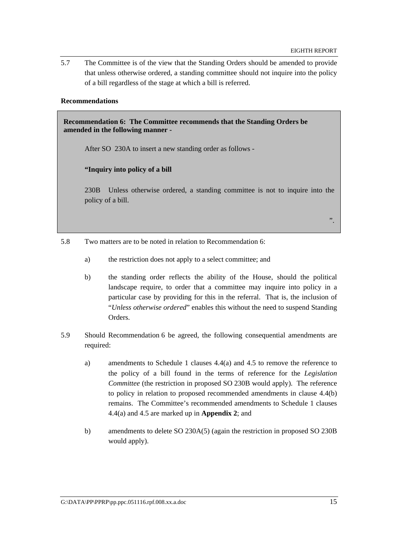".

5.7 The Committee is of the view that the Standing Orders should be amended to provide that unless otherwise ordered, a standing committee should not inquire into the policy of a bill regardless of the stage at which a bill is referred.

#### **Recommendations**

**Recommendation 6: The Committee recommends that the Standing Orders be amended in the following manner -** 

After SO 230A to insert a new standing order as follows -

#### **"Inquiry into policy of a bill**

230B Unless otherwise ordered, a standing committee is not to inquire into the policy of a bill.

- 5.8 Two matters are to be noted in relation to Recommendation 6:
	- a) the restriction does not apply to a select committee; and
	- b) the standing order reflects the ability of the House, should the political landscape require, to order that a committee may inquire into policy in a particular case by providing for this in the referral. That is, the inclusion of "*Unless otherwise ordered*" enables this without the need to suspend Standing **Orders**
- 5.9 Should Recommendation 6 be agreed, the following consequential amendments are required:
	- a) amendments to Schedule 1 clauses 4.4(a) and 4.5 to remove the reference to the policy of a bill found in the terms of reference for the *Legislation Committee* (the restriction in proposed SO 230B would apply). The reference to policy in relation to proposed recommended amendments in clause 4.4(b) remains. The Committee's recommended amendments to Schedule 1 clauses 4.4(a) and 4.5 are marked up in **Appendix 2**; and
	- b) amendments to delete SO 230A(5) (again the restriction in proposed SO 230B would apply).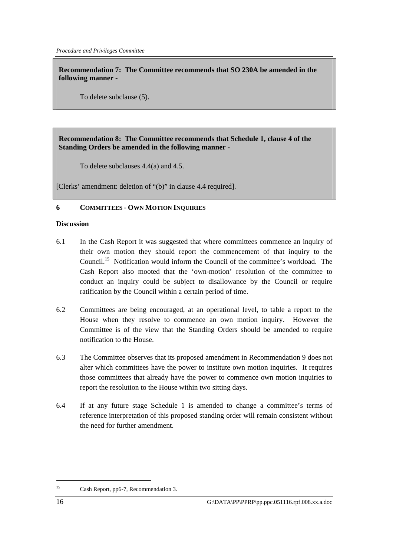**Recommendation 7: The Committee recommends that SO 230A be amended in the following manner -** 

To delete subclause (5).

## **Recommendation 8: The Committee recommends that Schedule 1, clause 4 of the Standing Orders be amended in the following manner -**

To delete subclauses 4.4(a) and 4.5.

[Clerks' amendment: deletion of "(b)" in clause 4.4 required].

## **6 COMMITTEES - OWN MOTION INQUIRIES**

#### **Discussion**

- 6.1 In the Cash Report it was suggested that where committees commence an inquiry of their own motion they should report the commencement of that inquiry to the Council.<sup>15</sup> Notification would inform the Council of the committee's workload. The Cash Report also mooted that the 'own-motion' resolution of the committee to conduct an inquiry could be subject to disallowance by the Council or require ratification by the Council within a certain period of time.
- 6.2 Committees are being encouraged, at an operational level, to table a report to the House when they resolve to commence an own motion inquiry. However the Committee is of the view that the Standing Orders should be amended to require notification to the House.
- 6.3 The Committee observes that its proposed amendment in Recommendation 9 does not alter which committees have the power to institute own motion inquiries. It requires those committees that already have the power to commence own motion inquiries to report the resolution to the House within two sitting days.
- 6.4 If at any future stage Schedule 1 is amended to change a committee's terms of reference interpretation of this proposed standing order will remain consistent without the need for further amendment.

 $15<sup>15</sup>$ Cash Report, pp6-7, Recommendation 3.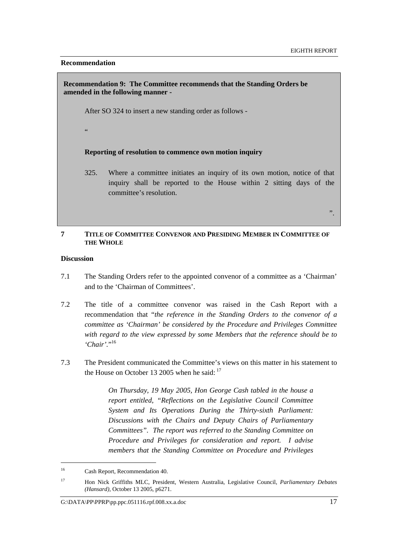#### **Recommendation**

## **Recommendation 9: The Committee recommends that the Standing Orders be amended in the following manner -**

After SO 324 to insert a new standing order as follows -

"

#### **Reporting of resolution to commence own motion inquiry**

325. Where a committee initiates an inquiry of its own motion, notice of that inquiry shall be reported to the House within 2 sitting days of the committee's resolution.

".

#### **7 TITLE OF COMMITTEE CONVENOR AND PRESIDING MEMBER IN COMMITTEE OF THE WHOLE**

#### **Discussion**

- 7.1 The Standing Orders refer to the appointed convenor of a committee as a 'Chairman' and to the 'Chairman of Committees'.
- 7.2 The title of a committee convenor was raised in the Cash Report with a recommendation that "*the reference in the Standing Orders to the convenor of a committee as 'Chairman' be considered by the Procedure and Privileges Committee with regard to the view expressed by some Members that the reference should be to 'Chair'.*" 16
- 7.3 The President communicated the Committee's views on this matter in his statement to the House on October 13 2005 when he said:  $17$

*On Thursday, 19 May 2005, Hon George Cash tabled in the house a report entitled, "Reflections on the Legislative Council Committee System and Its Operations During the Thirty-sixth Parliament: Discussions with the Chairs and Deputy Chairs of Parliamentary Committees". The report was referred to the Standing Committee on Procedure and Privileges for consideration and report. I advise members that the Standing Committee on Procedure and Privileges* 

<sup>16</sup> Cash Report, Recommendation 40.

<sup>17</sup> Hon Nick Griffiths MLC, President, Western Australia, Legislative Council, *Parliamentary Debates (Hansard),* October 13 2005, p6271.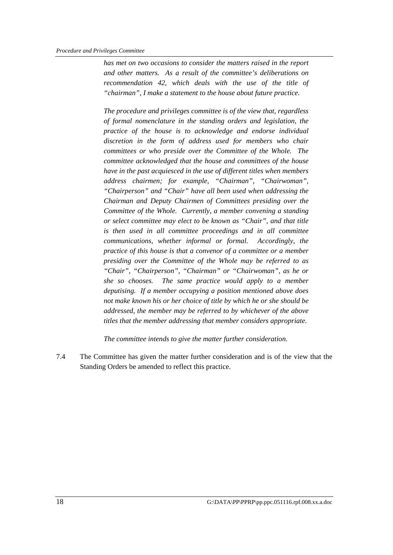*has met on two occasions to consider the matters raised in the report and other matters. As a result of the committee's deliberations on recommendation 42, which deals with the use of the title of "chairman", I make a statement to the house about future practice.* 

*The procedure and privileges committee is of the view that, regardless of formal nomenclature in the standing orders and legislation, the practice of the house is to acknowledge and endorse individual discretion in the form of address used for members who chair committees or who preside over the Committee of the Whole. The committee acknowledged that the house and committees of the house have in the past acquiesced in the use of different titles when members address chairmen; for example, "Chairman", "Chairwoman", "Chairperson" and "Chair" have all been used when addressing the Chairman and Deputy Chairmen of Committees presiding over the Committee of the Whole. Currently, a member convening a standing or select committee may elect to be known as "Chair", and that title is then used in all committee proceedings and in all committee communications, whether informal or formal. Accordingly, the practice of this house is that a convenor of a committee or a member presiding over the Committee of the Whole may be referred to as "Chair", "Chairperson", "Chairman" or "Chairwoman", as he or she so chooses. The same practice would apply to a member deputising. If a member occupying a position mentioned above does not make known his or her choice of title by which he or she should be addressed, the member may be referred to by whichever of the above titles that the member addressing that member considers appropriate.* 

*The committee intends to give the matter further consideration.* 

7.4 The Committee has given the matter further consideration and is of the view that the Standing Orders be amended to reflect this practice.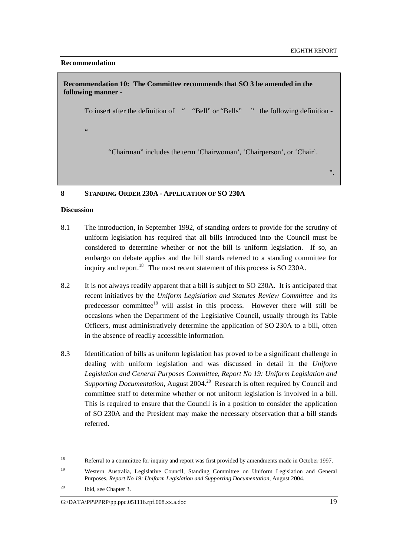".

#### **Recommendation**

**Recommendation 10: The Committee recommends that SO 3 be amended in the following manner -** 

To insert after the definition of " "Bell" or "Bells" " the following definition -

"

"Chairman" includes the term 'Chairwoman', 'Chairperson', or 'Chair'.

## **8 STANDING ORDER 230A - APPLICATION OF SO 230A**

#### **Discussion**

- 8.1 The introduction, in September 1992, of standing orders to provide for the scrutiny of uniform legislation has required that all bills introduced into the Council must be considered to determine whether or not the bill is uniform legislation. If so, an embargo on debate applies and the bill stands referred to a standing committee for inquiry and report.<sup>18</sup> The most recent statement of this process is SO 230A.
- 8.2 It is not always readily apparent that a bill is subject to SO 230A. It is anticipated that recent initiatives by the *Uniform Legislation and Statutes Review Committee* and its predecessor committee<sup>19</sup> will assist in this process. However there will still be occasions when the Department of the Legislative Council, usually through its Table Officers, must administratively determine the application of SO 230A to a bill, often in the absence of readily accessible information.
- 8.3 Identification of bills as uniform legislation has proved to be a significant challenge in dealing with uniform legislation and was discussed in detail in the *Uniform Legislation and General Purposes Committee*, *Report No 19: Uniform Legislation and Supporting Documentation*, August 2004.<sup>20</sup> Research is often required by Council and committee staff to determine whether or not uniform legislation is involved in a bill. This is required to ensure that the Council is in a position to consider the application of SO 230A and the President may make the necessary observation that a bill stands referred.

 $\overline{a}$ 

G:\DATA\PP\PPRP\pp.ppc.051116.rpf.008.xx.a.doc 19

<sup>&</sup>lt;sup>18</sup> Referral to a committee for inquiry and report was first provided by amendments made in October 1997.

<sup>19</sup> Western Australia, Legislative Council, Standing Committee on Uniform Legislation and General Purposes, *Report No 19: Uniform Legislation and Supporting Documentation*, August 2004.

<sup>20</sup> Ibid, see Chapter 3.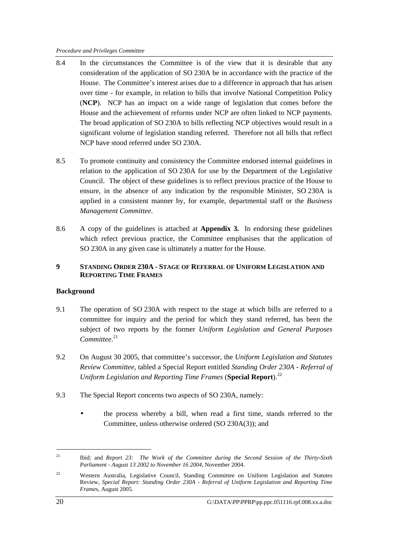- 8.4 In the circumstances the Committee is of the view that it is desirable that any consideration of the application of SO 230A be in accordance with the practice of the House. The Committee's interest arises due to a difference in approach that has arisen over time - for example, in relation to bills that involve National Competition Policy (**NCP**). NCP has an impact on a wide range of legislation that comes before the House and the achievement of reforms under NCP are often linked to NCP payments. The broad application of SO 230A to bills reflecting NCP objectives would result in a significant volume of legislation standing referred. Therefore not all bills that reflect NCP have stood referred under SO 230A.
- 8.5 To promote continuity and consistency the Committee endorsed internal guidelines in relation to the application of SO 230A for use by the Department of the Legislative Council. The object of these guidelines is to reflect previous practice of the House to ensure, in the absence of any indication by the responsible Minister, SO 230A is applied in a consistent manner by, for example, departmental staff or the *Business Management Committee*.
- 8.6 A copy of the guidelines is attached at **Appendix 3.** In endorsing these guidelines which refect previous practice, the Committee emphasises that the application of SO 230A in any given case is ultimately a matter for the House.

## **9 STANDING ORDER 230A - STAGE OF REFERRAL OF UNIFORM LEGISLATION AND REPORTING TIME FRAMES**

## **Background**

- 9.1 The operation of SO 230A with respect to the stage at which bills are referred to a committee for inquiry and the period for which they stand referred, has been the subject of two reports by the former *Uniform Legislation and General Purposes Committee*. 21
- 9.2 On August 30 2005, that committee's successor, the *Uniform Legislation and Statutes Review Committee*, tabled a Special Report entitled *Standing Order 230A - Referral of Uniform Legislation and Reporting Time Frames* (**Special Report**).<sup>22</sup>
- 9.3 The Special Report concerns two aspects of SO 230A, namely:
	- the process whereby a bill, when read a first time, stands referred to the Committee, unless otherwise ordered (SO 230A(3)); and

<sup>21</sup> Ibid; and *Report 23: The Work of the Committee during the Second Session of the Thirty-Sixth Parliament - August 13 2002 to November 16 2004*, November 2004.

<sup>22</sup> Western Australia, Legislative Council, Standing Committee on Uniform Legislation and Statutes Review, *Special Report: Standing Order 230A - Referral of Uniform Legislation and Reporting Time Frames,* August 2005*.*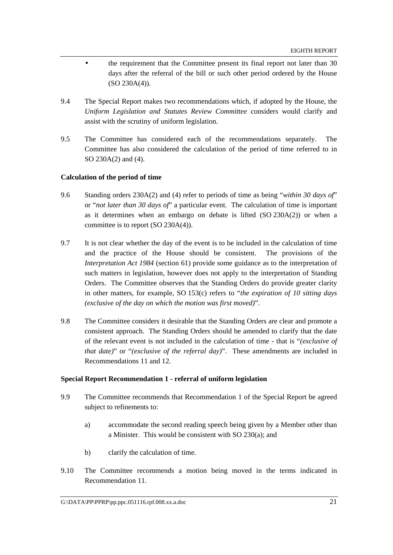- the requirement that the Committee present its final report not later than 30 days after the referral of the bill or such other period ordered by the House (SO 230A(4)).
- 9.4 The Special Report makes two recommendations which, if adopted by the House, the *Uniform Legislation and Statutes Review Committee* considers would clarify and assist with the scrutiny of uniform legislation.
- 9.5 The Committee has considered each of the recommendations separately. The Committee has also considered the calculation of the period of time referred to in SO 230A(2) and (4).

## **Calculation of the period of time**

- 9.6 Standing orders 230A(2) and (4) refer to periods of time as being "*within 30 days of*" or "*not later than 30 days of*" a particular event. The calculation of time is important as it determines when an embargo on debate is lifted (SO 230A(2)) or when a committee is to report (SO 230A(4)).
- 9.7 It is not clear whether the day of the event is to be included in the calculation of time and the practice of the House should be consistent. The provisions of the *Interpretation Act 1984* (section 61) provide some guidance as to the interpretation of such matters in legislation, however does not apply to the interpretation of Standing Orders. The Committee observes that the Standing Orders do provide greater clarity in other matters, for example, SO 153(c) refers to "*the expiration of 10 sitting days (exclusive of the day on which the motion was first moved)*".
- 9.8 The Committee considers it desirable that the Standing Orders are clear and promote a consistent approach. The Standing Orders should be amended to clarify that the date of the relevant event is not included in the calculation of time - that is "*(exclusive of that date)*" or "*(exclusive of the referral day)*". These amendments are included in Recommendations 11 and 12.

#### **Special Report Recommendation 1 - referral of uniform legislation**

- 9.9 The Committee recommends that Recommendation 1 of the Special Report be agreed subject to refinements to:
	- a) accommodate the second reading speech being given by a Member other than a Minister. This would be consistent with SO 230(a); and
	- b) clarify the calculation of time.
- 9.10 The Committee recommends a motion being moved in the terms indicated in Recommendation 11.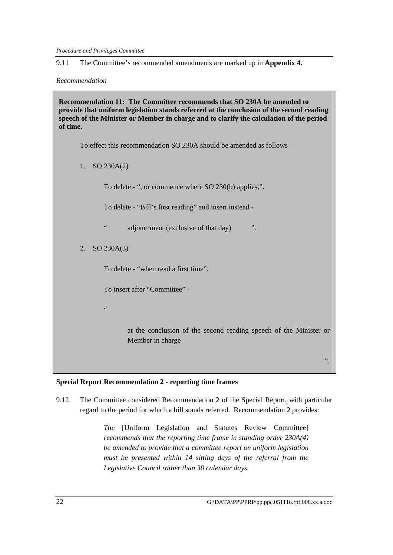*Procedure and Privileges Committee* 

9.11 The Committee's recommended amendments are marked up in **Appendix 4.**

*Recommendation* 

**Recommendation 11: The Committee recommends that SO 230A be amended to provide that uniform legislation stands referred at the conclusion of the second reading speech of the Minister or Member in charge and to clarify the calculation of the period of time.** 

To effect this recommendation SO 230A should be amended as follows -

1. SO 230A(2)

To delete - ", or commence where SO 230(b) applies,".

To delete - "Bill's first reading" and insert instead -

" adjournment (exclusive of that day) ".

2. SO 230A(3)

To delete - "when read a first time".

To insert after "Committee" -

"

at the conclusion of the second reading speech of the Minister or Member in charge

#### **Special Report Recommendation 2 - reporting time frames**

9.12 The Committee considered Recommendation 2 of the Special Report, with particular regard to the period for which a bill stands referred. Recommendation 2 provides:

> *The* [Uniform Legislation and Statutes Review Committee] *recommends that the reporting time frame in standing order 230A(4) be amended to provide that a committee report on uniform legislation must be presented within 14 sitting days of the referral from the Legislative Council rather than 30 calendar days.*

".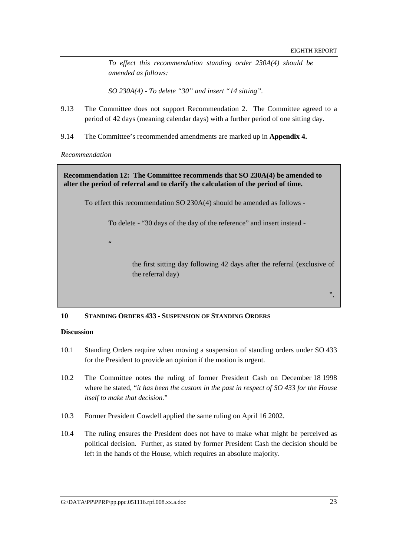*To effect this recommendation standing order 230A(4) should be amended as follows:* 

*SO 230A(4) - To delete "30" and insert "14 sitting".* 

- 9.13 The Committee does not support Recommendation 2. The Committee agreed to a period of 42 days (meaning calendar days) with a further period of one sitting day.
- 9.14 The Committee's recommended amendments are marked up in **Appendix 4.**

*Recommendation* 

**Recommendation 12: The Committee recommends that SO 230A(4) be amended to alter the period of referral and to clarify the calculation of the period of time.** 

To effect this recommendation SO 230A(4) should be amended as follows -

To delete - "30 days of the day of the reference" and insert instead -

.<br>.

the first sitting day following 42 days after the referral (exclusive of the referral day)

#### **10 STANDING ORDERS 433 - SUSPENSION OF STANDING ORDERS**

#### **Discussion**

- 10.1 Standing Orders require when moving a suspension of standing orders under SO 433 for the President to provide an opinion if the motion is urgent.
- 10.2 The Committee notes the ruling of former President Cash on December 18 1998 where he stated, "*it has been the custom in the past in respect of SO 433 for the House itself to make that decision.*"
- 10.3 Former President Cowdell applied the same ruling on April 16 2002.
- 10.4 The ruling ensures the President does not have to make what might be perceived as political decision. Further, as stated by former President Cash the decision should be left in the hands of the House, which requires an absolute majority.

".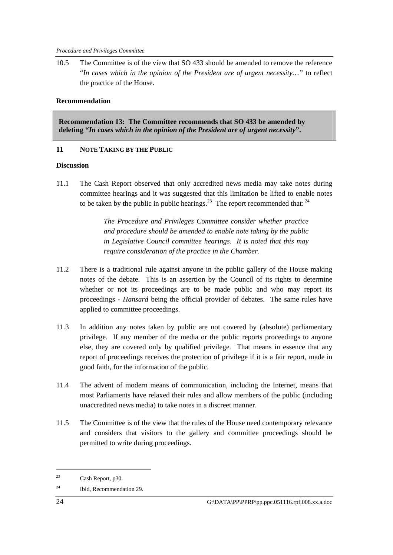10.5 The Committee is of the view that SO 433 should be amended to remove the reference "*In cases which in the opinion of the President are of urgent necessity…"* to reflect the practice of the House.

## **Recommendation**

**Recommendation 13: The Committee recommends that SO 433 be amended by deleting "***In cases which in the opinion of the President are of urgent necessity***".** 

## **11 NOTE TAKING BY THE PUBLIC**

## **Discussion**

11.1 The Cash Report observed that only accredited news media may take notes during committee hearings and it was suggested that this limitation be lifted to enable notes to be taken by the public in public hearings.<sup>23</sup> The report recommended that:  $24$ 

> *The Procedure and Privileges Committee consider whether practice and procedure should be amended to enable note taking by the public in Legislative Council committee hearings. It is noted that this may require consideration of the practice in the Chamber.*

- 11.2 There is a traditional rule against anyone in the public gallery of the House making notes of the debate. This is an assertion by the Council of its rights to determine whether or not its proceedings are to be made public and who may report its proceedings - *Hansard* being the official provider of debates. The same rules have applied to committee proceedings.
- 11.3 In addition any notes taken by public are not covered by (absolute) parliamentary privilege. If any member of the media or the public reports proceedings to anyone else, they are covered only by qualified privilege. That means in essence that any report of proceedings receives the protection of privilege if it is a fair report, made in good faith, for the information of the public.
- 11.4 The advent of modern means of communication, including the Internet, means that most Parliaments have relaxed their rules and allow members of the public (including unaccredited news media) to take notes in a discreet manner.
- 11.5 The Committee is of the view that the rules of the House need contemporary relevance and considers that visitors to the gallery and committee proceedings should be permitted to write during proceedings.

<sup>23</sup> Cash Report, p30.

<sup>24</sup> Ibid, Recommendation 29.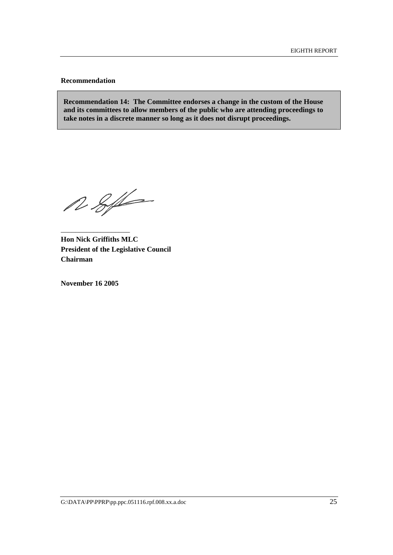#### **Recommendation**

**Recommendation 14: The Committee endorses a change in the custom of the House and its committees to allow members of the public who are attending proceedings to take notes in a discrete manner so long as it does not disrupt proceedings.** 

 $28/6$ 

**Hon Nick Griffiths MLC President of the Legislative Council Chairman** 

**November 16 2005** 

\_\_\_\_\_\_\_\_\_\_\_\_\_\_\_\_\_\_\_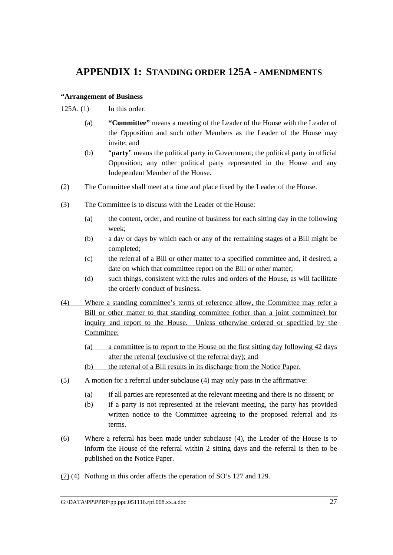## **APPENDIX 1: STANDING ORDER 125A - AMENDMENTS**

## **"Arrangement of Business**

125A. (1) In this order:

- (a) **"Committee"** means a meeting of the Leader of the House with the Leader of the Opposition and such other Members as the Leader of the House may invite; and
- (b) "**party**" means the political party in Government; the political party in official Opposition; any other political party represented in the House and any Independent Member of the House.
- (2) The Committee shall meet at a time and place fixed by the Leader of the House.
- (3) The Committee is to discuss with the Leader of the House:
	- (a) the content, order, and routine of business for each sitting day in the following week;
	- (b) a day or days by which each or any of the remaining stages of a Bill might be completed;
	- (c) the referral of a Bill or other matter to a specified committee and, if desired, a date on which that committee report on the Bill or other matter;
	- (d) such things, consistent with the rules and orders of the House, as will facilitate the orderly conduct of business.
- (4) Where a standing committee's terms of reference allow, the Committee may refer a Bill or other matter to that standing committee (other than a joint committee) for inquiry and report to the House. Unless otherwise ordered or specified by the Committee:
	- (a) a committee is to report to the House on the first sitting day following 42 days after the referral (exclusive of the referral day); and
	- (b) the referral of a Bill results in its discharge from the Notice Paper.
- (5) A motion for a referral under subclause (4) may only pass in the affirmative:
	- (a) if all parties are represented at the relevant meeting and there is no dissent; or
	- (b) if a party is not represented at the relevant meeting, the party has provided written notice to the Committee agreeing to the proposed referral and its terms.
- (6) Where a referral has been made under subclause (4), the Leader of the House is to inform the House of the referral within 2 sitting days and the referral is then to be published on the Notice Paper.
- $(7)$  (4) Nothing in this order affects the operation of SO's 127 and 129.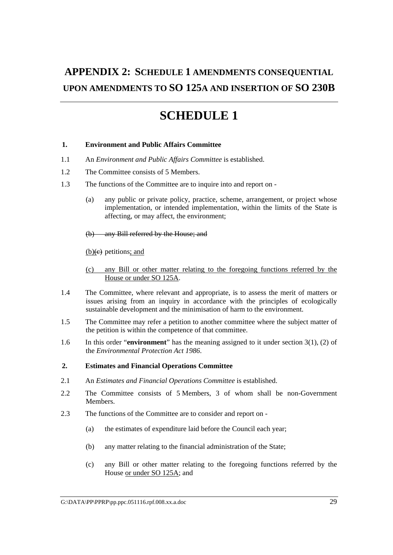# **APPENDIX 2: SCHEDULE 1 AMENDMENTS CONSEQUENTIAL UPON AMENDMENTS TO SO 125A AND INSERTION OF SO 230B**

# **SCHEDULE 1**

## **1. Environment and Public Affairs Committee**

- 1.1 An *Environment and Public Affairs Committee* is established.
- 1.2 The Committee consists of 5 Members.
- 1.3 The functions of the Committee are to inquire into and report on
	- (a) any public or private policy, practice, scheme, arrangement, or project whose implementation, or intended implementation, within the limits of the State is affecting, or may affect, the environment;

(b) any Bill referred by the House; and

 $(b)(e)$  petitions; and

- (c) any Bill or other matter relating to the foregoing functions referred by the House or under SO 125A.
- 1.4 The Committee, where relevant and appropriate, is to assess the merit of matters or issues arising from an inquiry in accordance with the principles of ecologically sustainable development and the minimisation of harm to the environment.
- 1.5 The Committee may refer a petition to another committee where the subject matter of the petition is within the competence of that committee.
- 1.6 In this order "**environment**" has the meaning assigned to it under section 3(1), (2) of the *Environmental Protection Act 1986*.

#### **2. Estimates and Financial Operations Committee**

- 2.1 An *Estimates and Financial Operations Committee* is established.
- 2.2 The Committee consists of 5 Members, 3 of whom shall be non-Government **Members**
- 2.3 The functions of the Committee are to consider and report on
	- (a) the estimates of expenditure laid before the Council each year;
	- (b) any matter relating to the financial administration of the State;
	- (c) any Bill or other matter relating to the foregoing functions referred by the House or under SO 125A; and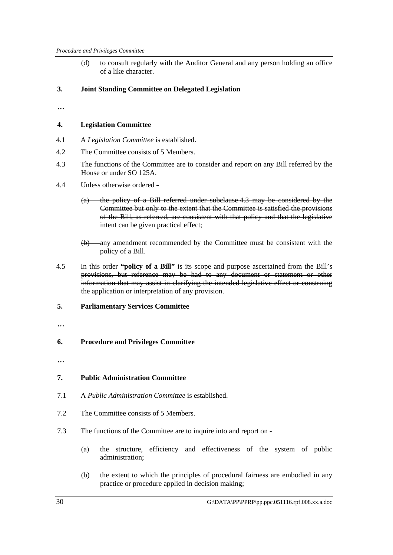(d) to consult regularly with the Auditor General and any person holding an office of a like character.

## **3. Joint Standing Committee on Delegated Legislation**

**…**

## **4. Legislation Committee**

- 4.1 A *Legislation Committee* is established.
- 4.2 The Committee consists of 5 Members.
- 4.3 The functions of the Committee are to consider and report on any Bill referred by the House or under SO 125A.
- 4.4 Unless otherwise ordered
	- (a) the policy of a Bill referred under subclause 4.3 may be considered by the Committee but only to the extent that the Committee is satisfied the provisions of the Bill, as referred, are consistent with that policy and that the legislative intent can be given practical effect;
	- (b) any amendment recommended by the Committee must be consistent with the policy of a Bill.
- 4.5 In this order **"policy of a Bill"** is its scope and purpose ascertained from the Bill's provisions, but reference may be had to any document or statement or other information that may assist in clarifying the intended legislative effect or construing the application or interpretation of any provision.
- **5. Parliamentary Services Committee**
- **…**

#### **6. Procedure and Privileges Committee**

**…** 

#### **7. Public Administration Committee**

- 7.1 A *Public Administration Committee* is established.
- 7.2 The Committee consists of 5 Members.
- 7.3 The functions of the Committee are to inquire into and report on
	- (a) the structure, efficiency and effectiveness of the system of public administration;
	- (b) the extent to which the principles of procedural fairness are embodied in any practice or procedure applied in decision making;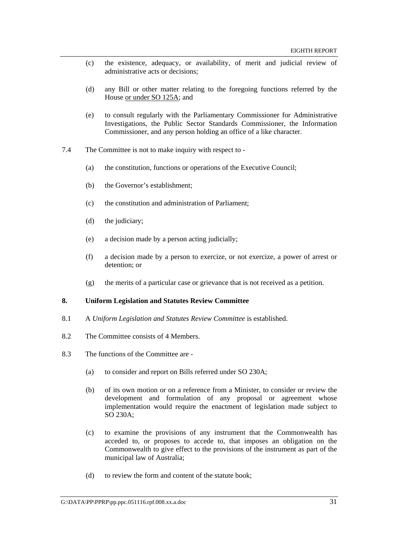- (c) the existence, adequacy, or availability, of merit and judicial review of administrative acts or decisions;
- (d) any Bill or other matter relating to the foregoing functions referred by the House or under SO 125A; and
- (e) to consult regularly with the Parliamentary Commissioner for Administrative Investigations, the Public Sector Standards Commissioner, the Information Commissioner, and any person holding an office of a like character.
- 7.4 The Committee is not to make inquiry with respect to
	- (a) the constitution, functions or operations of the Executive Council;
	- (b) the Governor's establishment;
	- (c) the constitution and administration of Parliament;
	- (d) the judiciary;
	- (e) a decision made by a person acting judicially;
	- (f) a decision made by a person to exercize, or not exercize, a power of arrest or detention; or
	- (g) the merits of a particular case or grievance that is not received as a petition.

#### **8. Uniform Legislation and Statutes Review Committee**

- 8.1 A *Uniform Legislation and Statutes Review Committee* is established.
- 8.2 The Committee consists of 4 Members.
- 8.3 The functions of the Committee are
	- (a) to consider and report on Bills referred under SO 230A;
	- (b) of its own motion or on a reference from a Minister, to consider or review the development and formulation of any proposal or agreement whose implementation would require the enactment of legislation made subject to SO 230A;
	- (c) to examine the provisions of any instrument that the Commonwealth has acceded to, or proposes to accede to, that imposes an obligation on the Commonwealth to give effect to the provisions of the instrument as part of the municipal law of Australia;
	- (d) to review the form and content of the statute book;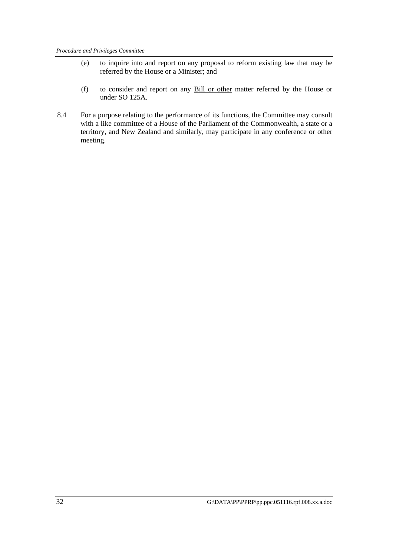- (e) to inquire into and report on any proposal to reform existing law that may be referred by the House or a Minister; and
- (f) to consider and report on any Bill or other matter referred by the House or under SO 125A.
- 8.4 For a purpose relating to the performance of its functions, the Committee may consult with a like committee of a House of the Parliament of the Commonwealth, a state or a territory, and New Zealand and similarly, may participate in any conference or other meeting.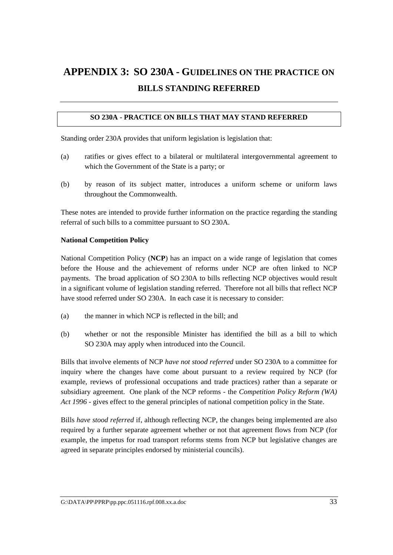# **APPENDIX 3: SO 230A - GUIDELINES ON THE PRACTICE ON BILLS STANDING REFERRED**

## **SO 230A - PRACTICE ON BILLS THAT MAY STAND REFERRED**

Standing order 230A provides that uniform legislation is legislation that:

- (a) ratifies or gives effect to a bilateral or multilateral intergovernmental agreement to which the Government of the State is a party; or
- (b) by reason of its subject matter, introduces a uniform scheme or uniform laws throughout the Commonwealth.

These notes are intended to provide further information on the practice regarding the standing referral of such bills to a committee pursuant to SO 230A.

#### **National Competition Policy**

National Competition Policy (**NCP**) has an impact on a wide range of legislation that comes before the House and the achievement of reforms under NCP are often linked to NCP payments. The broad application of SO 230A to bills reflecting NCP objectives would result in a significant volume of legislation standing referred. Therefore not all bills that reflect NCP have stood referred under SO 230A. In each case it is necessary to consider:

- (a) the manner in which NCP is reflected in the bill; and
- (b) whether or not the responsible Minister has identified the bill as a bill to which SO 230A may apply when introduced into the Council.

Bills that involve elements of NCP *have not stood referred* under SO 230A to a committee for inquiry where the changes have come about pursuant to a review required by NCP (for example, reviews of professional occupations and trade practices) rather than a separate or subsidiary agreement. One plank of the NCP reforms - the *Competition Policy Reform (WA) Act 1996* - gives effect to the general principles of national competition policy in the State.

Bills *have stood referred* if, although reflecting NCP, the changes being implemented are also required by a further separate agreement whether or not that agreement flows from NCP (for example, the impetus for road transport reforms stems from NCP but legislative changes are agreed in separate principles endorsed by ministerial councils).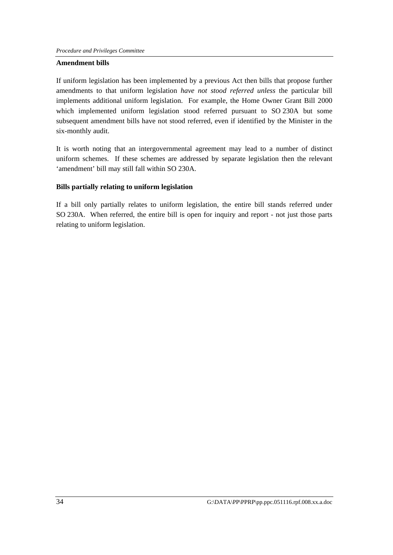### **Amendment bills**

If uniform legislation has been implemented by a previous Act then bills that propose further amendments to that uniform legislation *have not stood referred unless* the particular bill implements additional uniform legislation. For example, the Home Owner Grant Bill 2000 which implemented uniform legislation stood referred pursuant to SO 230A but some subsequent amendment bills have not stood referred, even if identified by the Minister in the six-monthly audit.

It is worth noting that an intergovernmental agreement may lead to a number of distinct uniform schemes. If these schemes are addressed by separate legislation then the relevant 'amendment' bill may still fall within SO 230A.

## **Bills partially relating to uniform legislation**

If a bill only partially relates to uniform legislation, the entire bill stands referred under SO 230A. When referred, the entire bill is open for inquiry and report - not just those parts relating to uniform legislation.